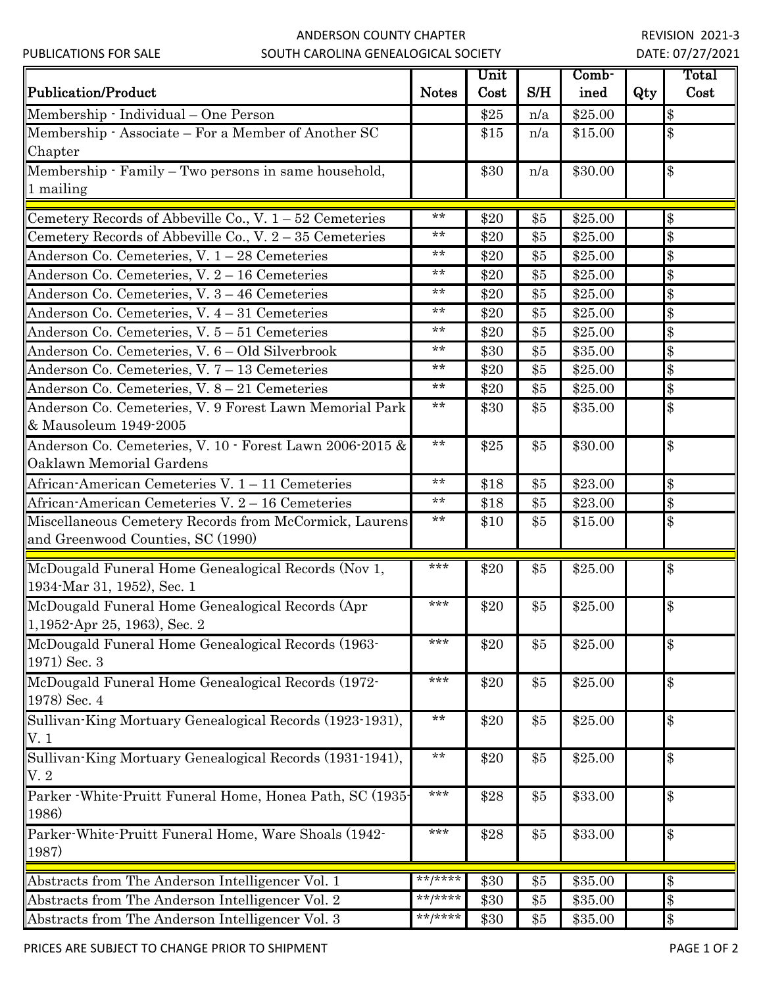## ANDERSON COUNTY CHAPTER SOUTH CAROLINA GENEALOGICAL SOCIETY

|                                                           |              | Unit |       | Comb-   |     | Total |
|-----------------------------------------------------------|--------------|------|-------|---------|-----|-------|
| <b>Publication/Product</b>                                | <b>Notes</b> | Cost | S/H   | ined    | Qty | Cost  |
| Membership · Individual - One Person                      |              | \$25 | n/a   | \$25.00 |     | \$    |
| Membership - Associate – For a Member of Another SC       |              | \$15 | n/a   | \$15.00 |     | \$    |
| Chapter                                                   |              |      |       |         |     |       |
| Membership · Family – Two persons in same household,      |              | \$30 | n/a   | \$30.00 |     | \$    |
| 1 mailing                                                 |              |      |       |         |     |       |
|                                                           | $***$        |      |       |         |     |       |
| Cemetery Records of Abbeville Co., V. $1-52$ Cemeteries   | $***$        | \$20 | \$5   | \$25.00 |     | $\$\$ |
| Cemetery Records of Abbeville Co., V. $2-35$ Cemeteries   | $***$        | \$20 | \$5   | \$25.00 |     | \$    |
| Anderson Co. Cemeteries, V. 1 - 28 Cemeteries             | $**$         | \$20 | \$5   | \$25.00 |     | $\$\$ |
| Anderson Co. Cemeteries, V. 2 - 16 Cemeteries             | $**$         | \$20 | \$5   | \$25.00 |     | \$    |
| Anderson Co. Cemeteries, V. 3 - 46 Cemeteries             | $***$        | \$20 | \$5   | \$25.00 |     | \$    |
| Anderson Co. Cemeteries, V. 4 - 31 Cemeteries             | $**$         | \$20 | \$5   | \$25.00 |     | \$    |
| Anderson Co. Cemeteries, V. 5 - 51 Cemeteries             | $***$        | \$20 | \$5   | \$25.00 |     | $\$\$ |
| Anderson Co. Cemeteries, V. 6 – Old Silverbrook           | $***$        | \$30 | \$5   | \$35.00 |     | $\$\$ |
| Anderson Co. Cemeteries, V. 7 - 13 Cemeteries             | $**$         | \$20 | \$5   | \$25.00 |     | $\$\$ |
| Anderson Co. Cemeteries, V. 8 - 21 Cemeteries             |              | \$20 | \$5   | \$25.00 |     | \$    |
| Anderson Co. Cemeteries, V. 9 Forest Lawn Memorial Park   | $***$        | \$30 | \$5   | \$35.00 |     | $\$\$ |
| & Mausoleum 1949-2005                                     | $**$         |      |       |         |     |       |
| Anderson Co. Cemeteries, V. 10 · Forest Lawn 2006-2015 &  |              | \$25 | \$5   | \$30.00 |     | $\$\$ |
| Oaklawn Memorial Gardens                                  |              |      |       |         |     |       |
| African-American Cemeteries V. 1 - 11 Cemeteries          | $***$        | \$18 | \$5   | \$23.00 |     | $\$\$ |
| African-American Cemeteries V. 2 - 16 Cemeteries          | $**$         | \$18 | \$5   | \$23.00 |     | $\$\$ |
| Miscellaneous Cemetery Records from McCormick, Laurens    | $***$        | \$10 | $\$5$ | \$15.00 |     | $\$\$ |
| and Greenwood Counties, SC (1990)                         |              |      |       |         |     |       |
| McDougald Funeral Home Genealogical Records (Nov 1,       | ***          | \$20 | \$5   | \$25.00 |     | $\$\$ |
| 1934 Mar 31, 1952), Sec. 1                                |              |      |       |         |     |       |
| McDougald Funeral Home Genealogical Records (Apr          | ***          | \$20 | \$5   | \$25.00 |     | $\$\$ |
| $1,1952$ -Apr 25, 1963), Sec. 2                           |              |      |       |         |     |       |
| McDougald Funeral Home Genealogical Records (1963-        | ***          | \$20 | \$5   | \$25.00 |     | \$    |
| 1971) Sec. 3                                              |              |      |       |         |     |       |
| McDougald Funeral Home Genealogical Records (1972-        | ***          | \$20 | \$5   | \$25.00 |     | \$    |
| 1978) Sec. 4                                              |              |      |       |         |     |       |
| Sullivan-King Mortuary Genealogical Records (1923-1931),  | $***$        | \$20 | \$5   | \$25.00 |     | \$    |
| V.1                                                       |              |      |       |         |     |       |
| Sullivan-King Mortuary Genealogical Records (1931-1941),  | $***$        | \$20 | \$5   | \$25.00 |     | \$    |
| V.2                                                       |              |      |       |         |     |       |
| Parker - White-Pruitt Funeral Home, Honea Path, SC (1935- | ***          | \$28 | \$5   | \$33.00 |     | $\$\$ |
| 1986)                                                     |              |      |       |         |     |       |
| Parker-White-Pruitt Funeral Home, Ware Shoals (1942-      | ***          | \$28 | \$5   | \$33.00 |     | $\$\$ |
| 1987)                                                     |              |      |       |         |     |       |
|                                                           | $***$ /****  |      |       |         |     |       |
| Abstracts from The Anderson Intelligencer Vol. 1          | $***$ /****  | \$30 | \$5   | \$35.00 |     | \$    |
| Abstracts from The Anderson Intelligencer Vol. 2          |              | \$30 | \$5   | \$35.00 |     | $\$\$ |
| Abstracts from The Anderson Intelligencer Vol. 3          | **/****      | \$30 | \$5   | \$35.00 |     | \$    |